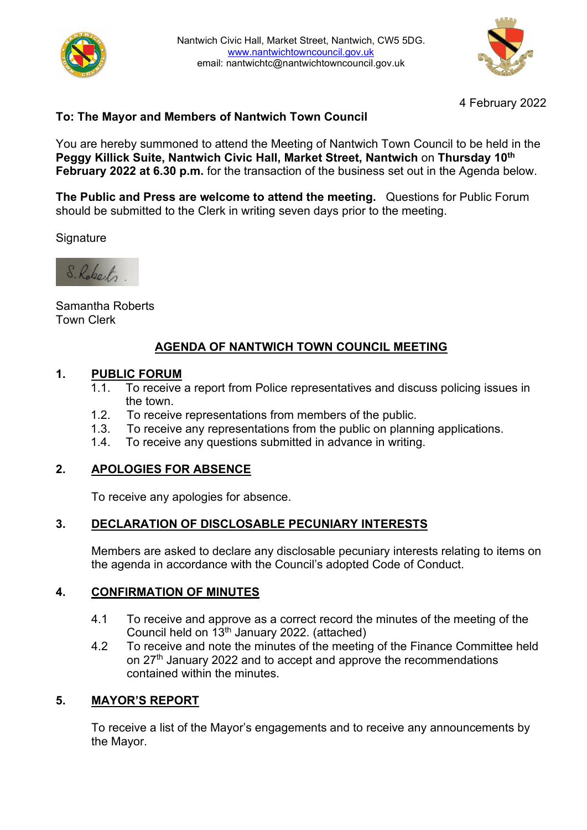



4 February 2022

# **To: The Mayor and Members of Nantwich Town Council**

You are hereby summoned to attend the Meeting of Nantwich Town Council to be held in the **Peggy Killick Suite, Nantwich Civic Hall, Market Street, Nantwich** on **Thursday 10th February 2022 at 6.30 p.m.** for the transaction of the business set out in the Agenda below.

**The Public and Press are welcome to attend the meeting.** Questions for Public Forum should be submitted to the Clerk in writing seven days prior to the meeting.

**Signature** 



Samantha Roberts Town Clerk

# **AGENDA OF NANTWICH TOWN COUNCIL MEETING**

### **1. PUBLIC FORUM**

- 1.1. To receive a report from Police representatives and discuss policing issues in the town.
- 1.2. To receive representations from members of the public.
- 1.3. To receive any representations from the public on planning applications.
- 1.4. To receive any questions submitted in advance in writing.

### **2. APOLOGIES FOR ABSENCE**

To receive any apologies for absence.

# **3. DECLARATION OF DISCLOSABLE PECUNIARY INTERESTS**

Members are asked to declare any disclosable pecuniary interests relating to items on the agenda in accordance with the Council's adopted Code of Conduct.

### **4. CONFIRMATION OF MINUTES**

- 4.1 To receive and approve as a correct record the minutes of the meeting of the Council held on 13th January 2022. (attached)
- 4.2 To receive and note the minutes of the meeting of the Finance Committee held on 27<sup>th</sup> January 2022 and to accept and approve the recommendations contained within the minutes.

# **5. MAYOR'S REPORT**

To receive a list of the Mayor's engagements and to receive any announcements by the Mayor.